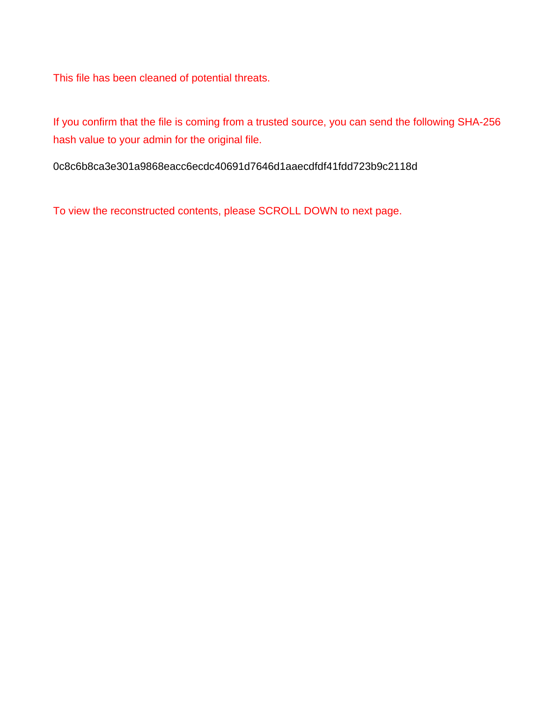This file has been cleaned of potential threats.

If you confirm that the file is coming from a trusted source, you can send the following SHA-256 hash value to your admin for the original file.

0c8c6b8ca3e301a9868eacc6ecdc40691d7646d1aaecdfdf41fdd723b9c2118d

To view the reconstructed contents, please SCROLL DOWN to next page.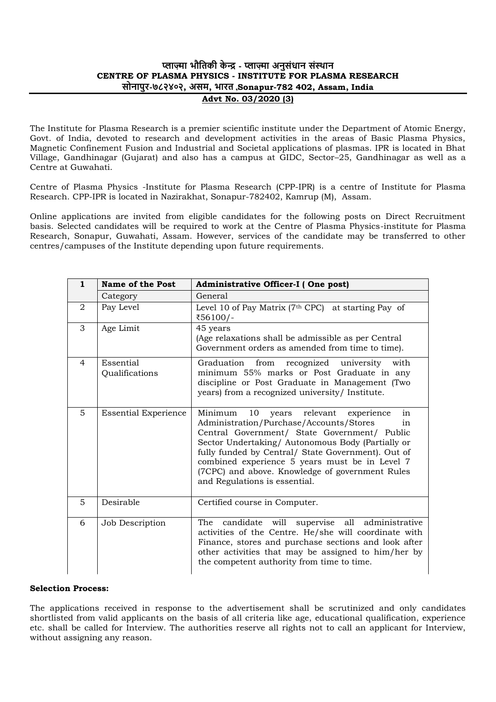# **प्लाज़्मा भौतिकी के न्द्र - प्लाज़्मा अनुसंधान संस्थान CENTRE OF PLASMA PHYSICS - INSTITUTE FOR PLASMA RESEARCH सोनापुर-७८२४०२, असम, भारि ,Sonapur-782 402, Assam, India Advt No. 03/2020 (3)**

The Institute for Plasma Research is a premier scientific institute under the Department of Atomic Energy, Govt. of India, devoted to research and development activities in the areas of Basic Plasma Physics, Magnetic Confinement Fusion and Industrial and Societal applications of plasmas. IPR is located in Bhat Village, Gandhinagar (Gujarat) and also has a campus at GIDC, Sector–25, Gandhinagar as well as a Centre at Guwahati.

Centre of Plasma Physics -Institute for Plasma Research (CPP-IPR) is a centre of Institute for Plasma Research. CPP-IPR is located in Nazirakhat, Sonapur-782402, Kamrup (M), Assam.

Online applications are invited from eligible candidates for the following posts on Direct Recruitment basis. Selected candidates will be required to work at the Centre of Plasma Physics-institute for Plasma Research, Sonapur, Guwahati, Assam. However, services of the candidate may be transferred to other centres/campuses of the Institute depending upon future requirements.

| $\mathbf{1}$ | Name of the Post            | Administrative Officer-I (One post)                                                                                                                                                                                                                                                                                                                                                                   |  |
|--------------|-----------------------------|-------------------------------------------------------------------------------------------------------------------------------------------------------------------------------------------------------------------------------------------------------------------------------------------------------------------------------------------------------------------------------------------------------|--|
|              | Category                    | General                                                                                                                                                                                                                                                                                                                                                                                               |  |
| 2            | Pay Level                   | Level 10 of Pay Matrix ( $7th$ CPC) at starting Pay of<br>₹56100/-                                                                                                                                                                                                                                                                                                                                    |  |
| 3            | Age Limit                   | 45 years<br>(Age relaxations shall be admissible as per Central<br>Government orders as amended from time to time).                                                                                                                                                                                                                                                                                   |  |
| 4            | Essential<br>Qualifications | Graduation<br>from<br>recognized university<br>with<br>minimum 55% marks or Post Graduate in any<br>discipline or Post Graduate in Management (Two<br>years) from a recognized university/ Institute.                                                                                                                                                                                                 |  |
| 5            | <b>Essential Experience</b> | 10<br>years relevant<br>Minimum<br>experience<br>in<br>Administration/Purchase/Accounts/Stores<br>in<br>Central Government/ State Government/ Public<br>Sector Undertaking/ Autonomous Body (Partially or<br>fully funded by Central/ State Government). Out of<br>combined experience 5 years must be in Level 7<br>(7CPC) and above. Knowledge of government Rules<br>and Regulations is essential. |  |
| 5            | Desirable                   | Certified course in Computer.                                                                                                                                                                                                                                                                                                                                                                         |  |
| 6            | Job Description             | The candidate will supervise all administrative<br>activities of the Centre. He/she will coordinate with<br>Finance, stores and purchase sections and look after<br>other activities that may be assigned to him/her by<br>the competent authority from time to time.                                                                                                                                 |  |

#### **Selection Process:**

The applications received in response to the advertisement shall be scrutinized and only candidates shortlisted from valid applicants on the basis of all criteria like age, educational qualification, experience etc. shall be called for Interview. The authorities reserve all rights not to call an applicant for Interview, without assigning any reason.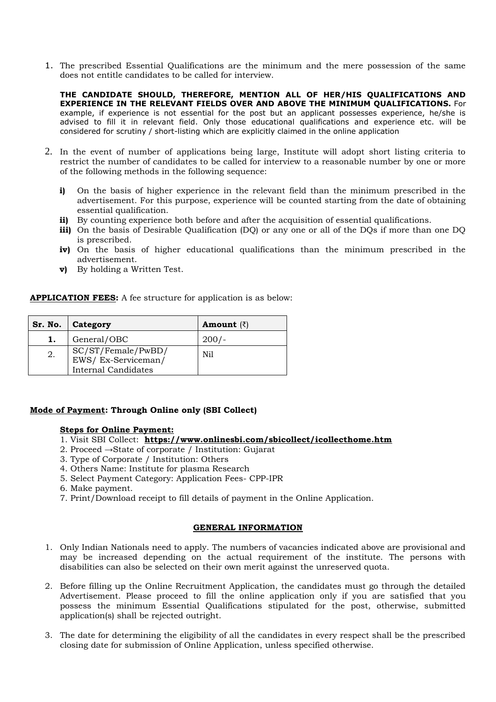1. The prescribed Essential Qualifications are the minimum and the mere possession of the same does not entitle candidates to be called for interview.

**THE CANDIDATE SHOULD, THEREFORE, MENTION ALL OF HER/HIS QUALIFICATIONS AND EXPERIENCE IN THE RELEVANT FIELDS OVER AND ABOVE THE MINIMUM QUALIFICATIONS.** For example, if experience is not essential for the post but an applicant possesses experience, he/she is advised to fill it in relevant field. Only those educational qualifications and experience etc. will be considered for scrutiny / short-listing which are explicitly claimed in the online application

- 2. In the event of number of applications being large, Institute will adopt short listing criteria to restrict the number of candidates to be called for interview to a reasonable number by one or more of the following methods in the following sequence:
	- **i)** On the basis of higher experience in the relevant field than the minimum prescribed in the advertisement. For this purpose, experience will be counted starting from the date of obtaining essential qualification.
	- **ii)** By counting experience both before and after the acquisition of essential qualifications.
	- **iii)** On the basis of Desirable Qualification (DQ) or any one or all of the DQs if more than one DQ is prescribed.
	- **iv)** On the basis of higher educational qualifications than the minimum prescribed in the advertisement.
	- **v)** By holding a Written Test.

**APPLICATION FEES:** A fee structure for application is as below:

|    | Sr. No.   Category                                                     | <b>Amount</b> $(\bar{z})$ |
|----|------------------------------------------------------------------------|---------------------------|
| ı. | General/OBC                                                            | $200/-$                   |
| 2. | SC/ST/Female/PwBD/<br>EWS/Ex-Serviceman/<br><b>Internal Candidates</b> | Nil                       |

#### **Mode of Payment: Through Online only (SBI Collect)**

#### **Steps for Online Payment:**

- 1. Visit SBI Collect: **https://www.onlinesbi.com/sbicollect/icollecthome.htm**
- 2. Proceed →State of corporate / Institution: Gujarat
- 3. Type of Corporate / Institution: Others
- 4. Others Name: Institute for plasma Research
- 5. Select Payment Category: Application Fees- CPP-IPR
- 6. Make payment.
- 7. Print/Download receipt to fill details of payment in the Online Application.

# **GENERAL INFORMATION**

- 1. Only Indian Nationals need to apply. The numbers of vacancies indicated above are provisional and may be increased depending on the actual requirement of the institute. The persons with disabilities can also be selected on their own merit against the unreserved quota.
- 2. Before filling up the Online Recruitment Application, the candidates must go through the detailed Advertisement. Please proceed to fill the online application only if you are satisfied that you possess the minimum Essential Qualifications stipulated for the post, otherwise, submitted application(s) shall be rejected outright.
- 3. The date for determining the eligibility of all the candidates in every respect shall be the prescribed closing date for submission of Online Application, unless specified otherwise.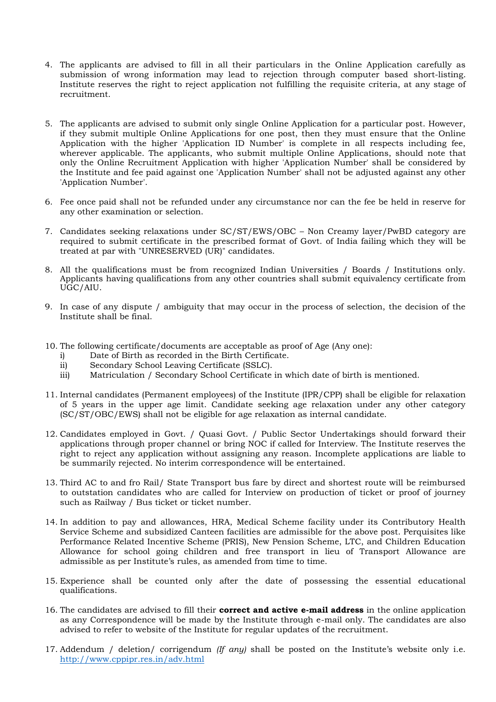- 4. The applicants are advised to fill in all their particulars in the Online Application carefully as submission of wrong information may lead to rejection through computer based short-listing. Institute reserves the right to reject application not fulfilling the requisite criteria, at any stage of recruitment.
- 5. The applicants are advised to submit only single Online Application for a particular post. However, if they submit multiple Online Applications for one post, then they must ensure that the Online Application with the higher 'Application ID Number' is complete in all respects including fee, wherever applicable. The applicants, who submit multiple Online Applications, should note that only the Online Recruitment Application with higher 'Application Number' shall be considered by the Institute and fee paid against one 'Application Number' shall not be adjusted against any other 'Application Number'.
- 6. Fee once paid shall not be refunded under any circumstance nor can the fee be held in reserve for any other examination or selection.
- 7. Candidates seeking relaxations under SC/ST/EWS/OBC Non Creamy layer/PwBD category are required to submit certificate in the prescribed format of Govt. of India failing which they will be treated at par with "UNRESERVED (UR)" candidates.
- 8. All the qualifications must be from recognized Indian Universities / Boards / Institutions only. Applicants having qualifications from any other countries shall submit equivalency certificate from UGC/AIU.
- 9. In case of any dispute / ambiguity that may occur in the process of selection, the decision of the Institute shall be final.
- 10. The following certificate/documents are acceptable as proof of Age (Any one):
	- i) Date of Birth as recorded in the Birth Certificate.
	- ii) Secondary School Leaving Certificate (SSLC).
	- iii) Matriculation / Secondary School Certificate in which date of birth is mentioned.
- 11. Internal candidates (Permanent employees) of the Institute (IPR/CPP) shall be eligible for relaxation of 5 years in the upper age limit. Candidate seeking age relaxation under any other category (SC/ST/OBC/EWS) shall not be eligible for age relaxation as internal candidate.
- 12. Candidates employed in Govt. / Quasi Govt. / Public Sector Undertakings should forward their applications through proper channel or bring NOC if called for Interview. The Institute reserves the right to reject any application without assigning any reason. Incomplete applications are liable to be summarily rejected. No interim correspondence will be entertained.
- 13. Third AC to and fro Rail/ State Transport bus fare by direct and shortest route will be reimbursed to outstation candidates who are called for Interview on production of ticket or proof of journey such as Railway / Bus ticket or ticket number.
- 14. In addition to pay and allowances, HRA, Medical Scheme facility under its Contributory Health Service Scheme and subsidized Canteen facilities are admissible for the above post. Perquisites like Performance Related Incentive Scheme (PRIS), New Pension Scheme, LTC, and Children Education Allowance for school going children and free transport in lieu of Transport Allowance are admissible as per Institute's rules, as amended from time to time.
- 15. Experience shall be counted only after the date of possessing the essential educational qualifications.
- 16. The candidates are advised to fill their **correct and active e-mail address** in the online application as any Correspondence will be made by the Institute through e-mail only. The candidates are also advised to refer to website of the Institute for regular updates of the recruitment.
- 17. Addendum / deletion/ corrigendum *(If any)* shall be posted on the Institute's website only i.e. http://www.cppipr.res.in/adv.html